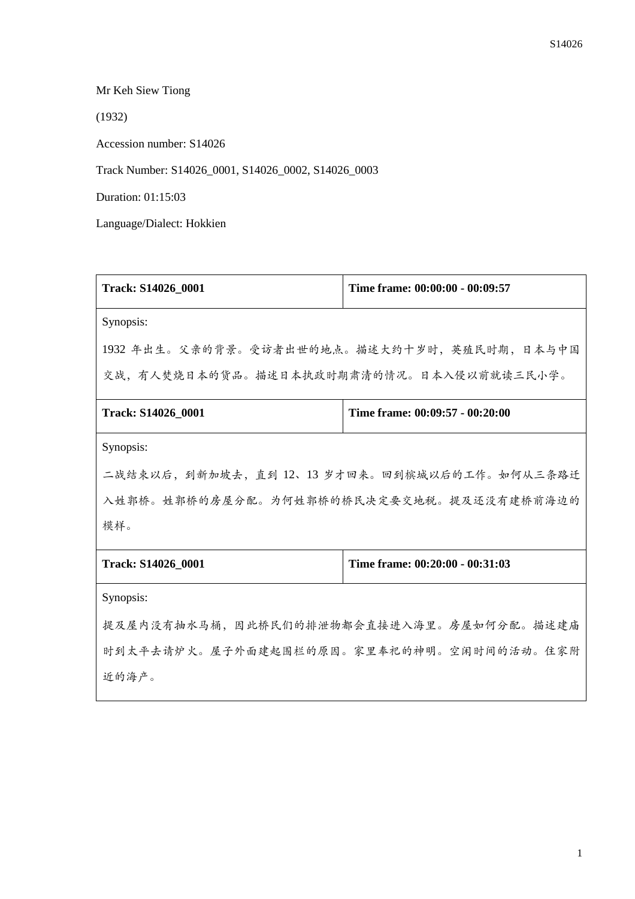Mr Keh Siew Tiong

(1932)

Accession number: S14026

Track Number: S14026\_0001, S14026\_0002, S14026\_0003

Duration: 01:15:03

Language/Dialect: Hokkien

| Track: S14026_0001                         | Time frame: 00:00:00 - 00:09:57 |  |
|--------------------------------------------|---------------------------------|--|
| Synopsis:                                  |                                 |  |
| 1932年出生。父亲的背景。受访者出世的地点。描述大约十岁时,英殖民时期,日本与中国 |                                 |  |
| 交战,有人焚烧日本的货品。描述日本执政时期肃清的情况。日本入侵以前就读三民小学。   |                                 |  |
| Track: S14026_0001                         | Time frame: 00:09:57 - 00:20:00 |  |
| Synopsis:                                  |                                 |  |
| 二战结束以后,到新加坡去,直到12、13岁才回来。回到槟城以后的工作。如何从三条路迁 |                                 |  |
| 入姓郭桥。姓郭桥的房屋分配。为何姓郭桥的桥民决定要交地税。提及还没有建桥前海边的   |                                 |  |
| 模样。                                        |                                 |  |
| Track: S14026_0001                         | Time frame: 00:20:00 - 00:31:03 |  |
| Synopsis:                                  |                                 |  |
| 提及屋内没有抽水马桶,因此桥民们的排泄物都会直接进入海里。房屋如何分配。描述建庙   |                                 |  |
| 时到太平去请炉火。屋子外面建起围栏的原因。家里奉祀的神明。空闲时间的活动。住家附   |                                 |  |
| 近的海产。                                      |                                 |  |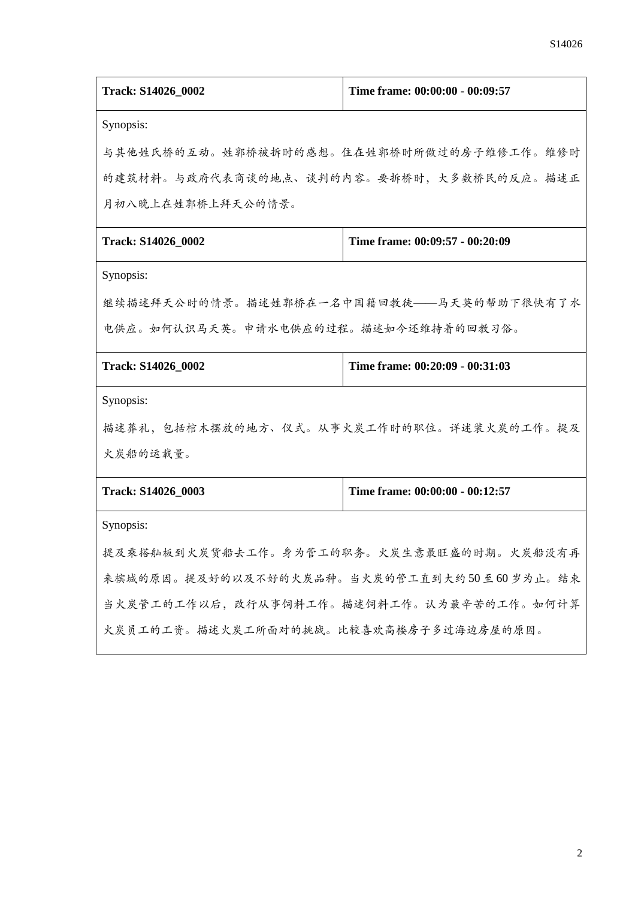| Track: S14026_0002                         | Time frame: 00:00:00 - 00:09:57 |  |
|--------------------------------------------|---------------------------------|--|
| Synopsis:                                  |                                 |  |
| 与其他姓氏桥的互动。姓郭桥被拆时的感想。住在姓郭桥时所做过的房子维修工作。维修时   |                                 |  |
| 的建筑材料。与政府代表商谈的地点、谈判的内容。要拆桥时,大多数桥民的反应。描述正   |                                 |  |
| 月初八晚上在姓郭桥上拜天公的情景。                          |                                 |  |
| Track: S14026_0002                         | Time frame: 00:09:57 - 00:20:09 |  |
| Synopsis:                                  |                                 |  |
| 继续描述拜天公时的情景。描述姓郭桥在一名中国籍回教徒——马天英的帮助下很快有了水   |                                 |  |
| 电供应。如何认识马天英。申请水电供应的过程。描述如今还维持着的回教习俗。       |                                 |  |
| Track: S14026_0002                         | Time frame: 00:20:09 - 00:31:03 |  |
| Synopsis:                                  |                                 |  |
| 描述葬礼,包括棺木摆放的地方、仪式。从事火炭工作时的职位。详述装火炭的工作。提及   |                                 |  |
| 火炭船的运载量。                                   |                                 |  |
| Track: S14026_0003                         | Time frame: 00:00:00 - 00:12:57 |  |
| Synopsis:                                  |                                 |  |
| 提及乘搭舢板到火炭货船去工作。身为管工的职务。火炭生意最旺盛的时期。火炭船没有再   |                                 |  |
| 来槟城的原因。提及好的以及不好的火炭品种。当火炭的管工直到大约50至60岁为止。结束 |                                 |  |
| 当火炭管工的工作以后,改行从事饲料工作。描述饲料工作。认为最辛苦的工作。如何计算   |                                 |  |
| 火炭员工的工资。描述火炭工所面对的挑战。比较喜欢高楼房子多过海边房屋的原因。     |                                 |  |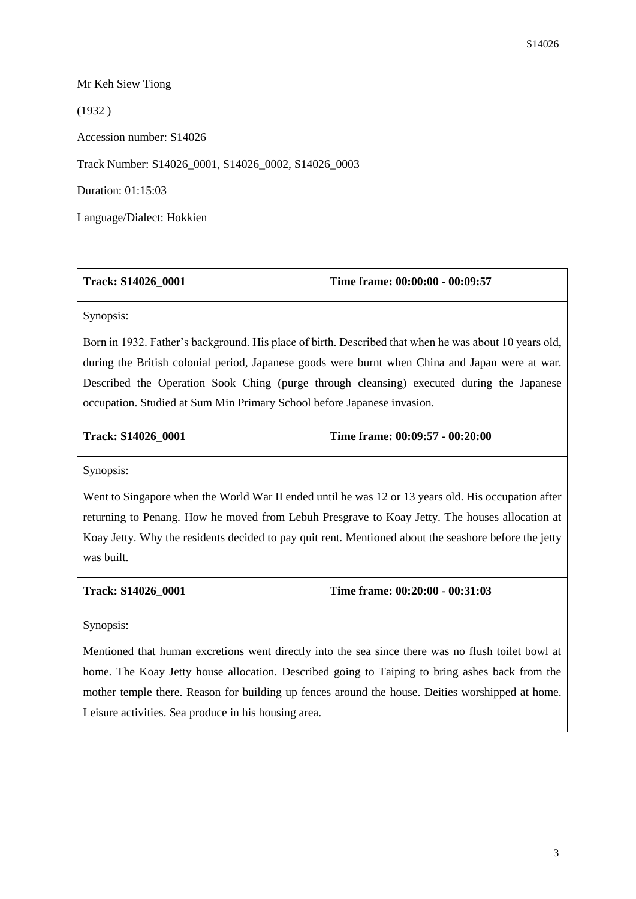## Mr Keh Siew Tiong

(1932 )

Accession number: S14026

Track Number: S14026\_0001, S14026\_0002, S14026\_0003

Duration: 01:15:03

Language/Dialect: Hokkien

| <b>Track: S14026 0001</b> | Time frame: $00:00:00 - 00:09:57$ |
|---------------------------|-----------------------------------|
|                           |                                   |

Synopsis:

Born in 1932. Father's background. His place of birth. Described that when he was about 10 years old, during the British colonial period, Japanese goods were burnt when China and Japan were at war. Described the Operation Sook Ching (purge through cleansing) executed during the Japanese occupation. Studied at Sum Min Primary School before Japanese invasion.

| <b>Track: S14026 0001</b> | Time frame: $00:09:57 - 00:20:00$ |
|---------------------------|-----------------------------------|
|                           |                                   |

Synopsis:

Went to Singapore when the World War II ended until he was 12 or 13 years old. His occupation after returning to Penang. How he moved from Lebuh Presgrave to Koay Jetty. The houses allocation at Koay Jetty. Why the residents decided to pay quit rent. Mentioned about the seashore before the jetty was built.

| Track: S14026 0001 | Time frame: 00:20:00 - 00:31:03 |
|--------------------|---------------------------------|
|                    |                                 |

Synopsis:

Mentioned that human excretions went directly into the sea since there was no flush toilet bowl at home. The Koay Jetty house allocation. Described going to Taiping to bring ashes back from the mother temple there. Reason for building up fences around the house. Deities worshipped at home. Leisure activities. Sea produce in his housing area.